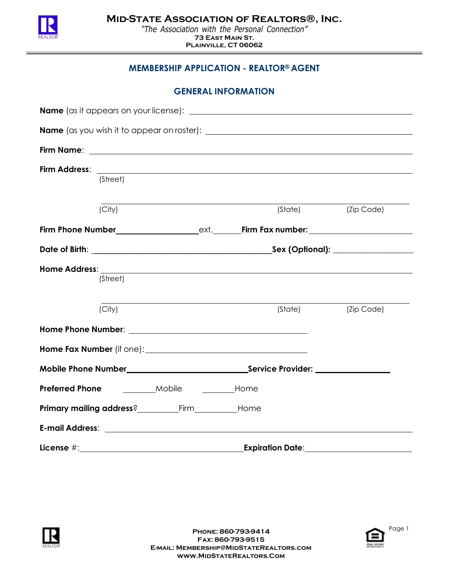

## **MEMBERSHIP APPLICATION - REALTOR® AGENT**

| <b>GENERAL INFORMATION</b> |  |  |
|----------------------------|--|--|
|----------------------------|--|--|

|                        | (Street) |                                                                                                                                                                                                                                |  |                            |            |  |
|------------------------|----------|--------------------------------------------------------------------------------------------------------------------------------------------------------------------------------------------------------------------------------|--|----------------------------|------------|--|
|                        | (City)   |                                                                                                                                                                                                                                |  | (State)                    | (Zip Code) |  |
|                        |          |                                                                                                                                                                                                                                |  |                            |            |  |
|                        |          |                                                                                                                                                                                                                                |  |                            |            |  |
|                        | (Street) |                                                                                                                                                                                                                                |  |                            |            |  |
|                        | (City)   |                                                                                                                                                                                                                                |  | (State)                    | (Zip Code) |  |
|                        |          | Home Phone Number: National Accounts and Accounts and Accounts are also been accounted by the United States and Accounts are also been accounted by the United States and Accounts are also been accounted by the United State |  |                            |            |  |
|                        |          |                                                                                                                                                                                                                                |  |                            |            |  |
|                        |          |                                                                                                                                                                                                                                |  |                            |            |  |
| <b>Preferred Phone</b> | Mobile   | _____________Home                                                                                                                                                                                                              |  |                            |            |  |
|                        |          | Primary mailing address?__________________________________Home                                                                                                                                                                 |  |                            |            |  |
|                        |          |                                                                                                                                                                                                                                |  |                            |            |  |
|                        |          |                                                                                                                                                                                                                                |  | Expiration Date:__________ |            |  |



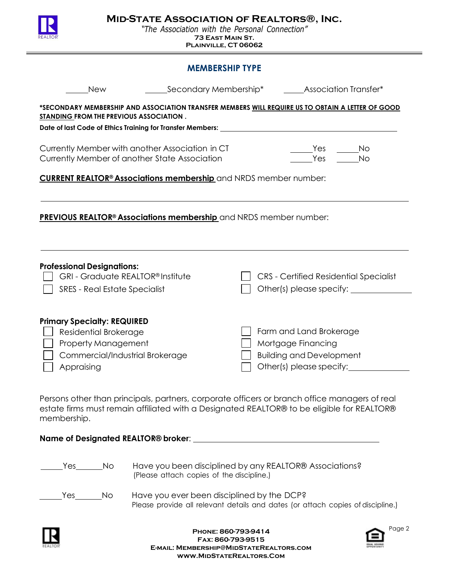

### **MEMBERSHIP TYPE**

| <b>New</b>                                                                                                                                                                                                                  | Secondary Membership*                                                                                |  | <b>Association Transfer*</b>                                                                                           |  |  |  |  |
|-----------------------------------------------------------------------------------------------------------------------------------------------------------------------------------------------------------------------------|------------------------------------------------------------------------------------------------------|--|------------------------------------------------------------------------------------------------------------------------|--|--|--|--|
| *SECONDARY MEMBERSHIP AND ASSOCIATION TRANSFER MEMBERS <u>WILL REQUIRE US TO OBTAIN A LETTER OF GOOD</u><br>STANDING FROM THE PREVIOUS ASSOCIATION.<br>Date of last Code of Ethics Training for Transfer Members: _________ |                                                                                                      |  |                                                                                                                        |  |  |  |  |
| Currently Member with another Association in CT<br>Currently Member of another State Association                                                                                                                            |                                                                                                      |  | Yes<br>No<br>Yes<br><b>No</b>                                                                                          |  |  |  |  |
| <b>CURRENT REALTOR<sup>®</sup> Associations membership</b> and NRDS member number:                                                                                                                                          |                                                                                                      |  |                                                                                                                        |  |  |  |  |
| <b>PREVIOUS REALTOR<sup>®</sup> Associations membership</b> and NRDS member number:                                                                                                                                         |                                                                                                      |  |                                                                                                                        |  |  |  |  |
|                                                                                                                                                                                                                             |                                                                                                      |  |                                                                                                                        |  |  |  |  |
| <b>Professional Designations:</b><br>GRI - Graduate REALTOR® Institute<br><b>SRES - Real Estate Specialist</b>                                                                                                              |                                                                                                      |  | <b>CRS</b> - Certified Residential Specialist                                                                          |  |  |  |  |
| <b>Primary Specialty: REQUIRED</b><br>Residential Brokerage<br><b>Property Management</b><br>Commercial/Industrial Brokerage<br>Appraising                                                                                  |                                                                                                      |  | Farm and Land Brokerage<br>Mortgage Financing<br><b>Building and Development</b><br>Other(s) please specify:__________ |  |  |  |  |
| Persons other than principals, partners, corporate officers or branch office managers of real<br>estate firms must remain affiliated with a Designated REALTOR® to be eligible for REALTOR®<br>membership.                  |                                                                                                      |  |                                                                                                                        |  |  |  |  |
|                                                                                                                                                                                                                             |                                                                                                      |  |                                                                                                                        |  |  |  |  |
| Yes<br>No                                                                                                                                                                                                                   | Have you been disciplined by any REALTOR® Associations?<br>(Please attach copies of the discipline.) |  |                                                                                                                        |  |  |  |  |
| Yes<br>No.                                                                                                                                                                                                                  | Have you ever been disciplined by the DCP?                                                           |  | Please provide all relevant details and dates (or attach copies of discipline.)                                        |  |  |  |  |



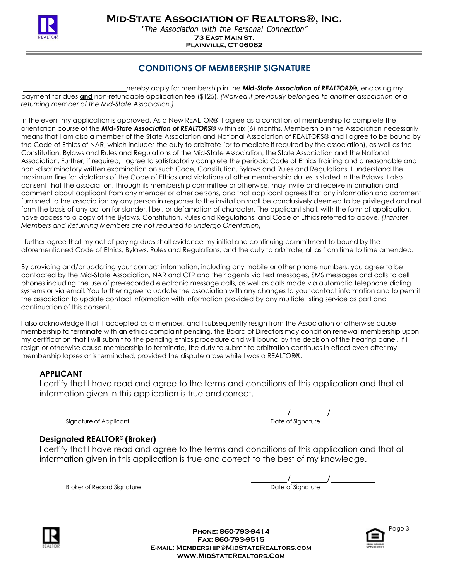

## **CONDITIONS OF MEMBERSHIP SIGNATURE**

hereby apply for membership in the **Mid-State Association of REALTORS®**, enclosing my payment for dues **and** non-refundable application fee (\$125). *(Waived if previously belonged to another association or a returning member of the Mid-State Association.)*

In the event my application is approved, As a New REALTOR®, I agree as a condition of membership to complete the orientation course of the *Mid-State Association of REALTORS®* within six (6) months. Membership in the Association necessarily means that I am also a member of the State Association and National Association of REALTORS® and I agree to be bound by the Code of Ethics of NAR, which includes the duty to arbitrate (or to mediate if required by the association), as well as the Constitution, Bylaws and Rules and Regulations of the Mid-State Association, the State Association and the National Association. Further, if required, I agree to satisfactorily complete the periodic Code of Ethics Training and a reasonable and non -discriminatory written examination on such Code, Constitution, Bylaws and Rules and Regulations. I understand the maximum fine for violations of the Code of Ethics and violations of other membership duties is stated in the Bylaws. I also consent that the association, through its membership committee or otherwise, may invite and receive information and comment about applicant from any member or other persons, and that applicant agrees that any information and comment furnished to the association by any person in response to the invitation shall be conclusively deemed to be privileged and not form the basis of any action for slander, libel, or defamation of character. The applicant shall, with the form of application, have access to a copy of the Bylaws, Constitution, Rules and Regulations, and Code of Ethics referred to above. *(Transfer Members and Returning Members are not required to undergo Orientation)*

I further agree that my act of paying dues shall evidence my initial and continuing commitment to bound by the aforementioned Code of Ethics, Bylaws, Rules and Regulations, and the duty to arbitrate, all as from time to time amended.

By providing and/or updating your contact information, including any mobile or other phone numbers, you agree to be contacted by the Mid-State Association, NAR and CTR and their agents via text messages, SMS messages and calls to cell phones including the use of pre-recorded electronic message calls, as well as calls made via automatic telephone dialing systems or via email. You further agree to update the association with any changes to your contact information and to permit the association to update contact information with information provided by any multiple listing service as part and continuation of this consent.

I also acknowledge that if accepted as a member, and I subsequently resign from the Association or otherwise cause membership to terminate with an ethics complaint pending, the Board of Directors may condition renewal membership upon my certification that I will submit to the pending ethics procedure and will bound by the decision of the hearing panel. If I resign or otherwise cause membership to terminate, the duty to submit to arbitration continues in effect even after my membership lapses or is terminated, provided the dispute arose while I was a REALTOR®.

### **APPLICANT**

I certify that I have read and agree to the terms and conditions of this application and that all information given in this application is true and correct.

Signature of Applicant

 $\frac{1}{\sqrt{1-\frac{1}{2}}\sqrt{1-\frac{1}{2}}\sqrt{1-\frac{1}{2}}\sqrt{1-\frac{1}{2}}}}$ 

### **Designated REALTOR® (Broker)**

I certify that I have read and agree to the terms and conditions of this application and that all information given in this application is true and correct to the best of my knowledge.

Broker of Record Signature

| Date of Signature |  |
|-------------------|--|



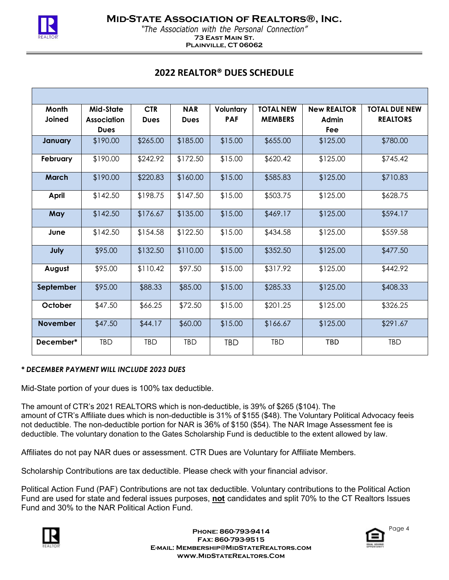

# **2022 REALTOR® DUES SCHEDULE**

| Month           | Mid-State          | <b>CTR</b>  | <b>NAR</b>  | Voluntary  | <b>TOTAL NEW</b> | <b>New REALTOR</b> | <b>TOTAL DUE NEW</b> |
|-----------------|--------------------|-------------|-------------|------------|------------------|--------------------|----------------------|
| Joined          | <b>Association</b> | <b>Dues</b> | <b>Dues</b> | <b>PAF</b> | <b>MEMBERS</b>   | Admin              | <b>REALTORS</b>      |
|                 | <b>Dues</b>        |             |             |            |                  | Fee                |                      |
| January         | \$190.00           | \$265.00    | \$185.00    | \$15.00    | \$655.00         | \$125.00           | \$780.00             |
| February        | \$190.00           | \$242.92    | \$172.50    | \$15.00    | \$620.42         | \$125.00           | \$745.42             |
| <b>March</b>    | \$190.00           | \$220.83    | \$160.00    | \$15.00    | \$585.83         | \$125.00           | \$710.83             |
| April           | \$142.50           | \$198.75    | \$147.50    | \$15.00    | \$503.75         | \$125.00           | \$628.75             |
| May             | \$142.50           | \$176.67    | \$135.00    | \$15.00    | \$469.17         | \$125.00           | \$594.17             |
| June            | \$142.50           | \$154.58    | \$122.50    | \$15.00    | \$434.58         | \$125.00           | \$559.58             |
| July            | \$95.00            | \$132.50    | \$110.00    | \$15.00    | \$352.50         | \$125.00           | \$477.50             |
| August          | \$95.00            | \$110.42    | \$97.50     | \$15.00    | \$317.92         | \$125.00           | \$442.92             |
| September       | \$95.00            | \$88.33     | \$85.00     | \$15.00    | \$285.33         | \$125.00           | \$408.33             |
| October         | \$47.50            | \$66.25     | \$72.50     | \$15.00    | \$201.25         | \$125.00           | \$326.25             |
| <b>November</b> | \$47.50            | \$44.17     | \$60.00     | \$15.00    | \$166.67         | \$125.00           | \$291.67             |
| December*       | TBD                | <b>TBD</b>  | <b>TBD</b>  | <b>TBD</b> | <b>TBD</b>       | <b>TBD</b>         | TBD                  |

#### *\* DECEMBER PAYMENT WILL INCLUDE 2023 DUES*

Mid-State portion of your dues is 100% tax deductible.

The amount of CTR's 2021 REALTORS which is non-deductible, is 39% of \$265 (\$104). The amount of CTR's Affiliate dues which is non-deductible is 31% of \$155 (\$48). The Voluntary Political Advocacy feeis not deductible. The non-deductible portion for NAR is 36% of \$150 (\$54). The NAR Image Assessment fee is deductible. The voluntary donation to the Gates Scholarship Fund is deductible to the extent allowed by law.

Affiliates do not pay NAR dues or assessment. CTR Dues are Voluntary for Affiliate Members.

Scholarship Contributions are tax deductible. Please check with your financial advisor.

Political Action Fund (PAF) Contributions are not tax deductible. Voluntary contributions to the Political Action Fund are used for state and federal issues purposes, **not** candidates and split 70% to the CT Realtors Issues Fund and 30% to the NAR Political Action Fund.



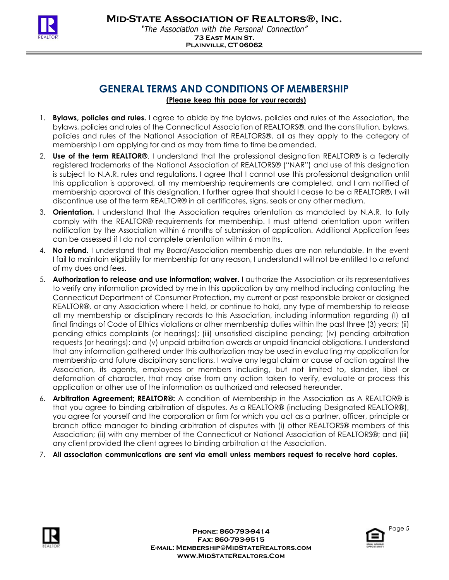

## **GENERAL TERMS AND CONDITIONS OF MEMBERSHIP (Please keep this page for your records)**

- 1. **Bylaws, policies and rules.** I agree to abide by the bylaws, policies and rules of the Association, the bylaws, policies and rules of the Connecticut Association of REALTORS®, and the constitution, bylaws, policies and rules of the National Association of REALTORS®, all as they apply to the category of membership I am applying for and as may from time to time beamended.
- 2. **Use of the term REALTOR®**. I understand that the professional designation REALTOR® is a federally registered trademarks of the National Association of REALTORS® ("NAR") and use of this designation is subject to N.A.R. rules and regulations. I agree that I cannot use this professional designation until this application is approved, all my membership requirements are completed, and I am notified of membership approval of this designation. I further agree that should I cease to be a REALTOR®, I will discontinue use of the term REALTOR® in all certificates, signs, seals or any other medium.
- 3. **Orientation.** I understand that the Association requires orientation as mandated by N.A.R. to fully comply with the REALTOR® requirements for membership. I must attend orientation upon written notification by the Association within 6 months of submission of application. Additional Application fees can be assessed if I do not complete orientation within 6 months.
- 4. **No refund.** I understand that my Board/Association membership dues are non refundable. In the event I fail to maintain eligibility for membership for any reason, I understand I will not be entitled to a refund of my dues and fees.
- 5. **Authorization to release and use information; waiver.** I authorize the Association or its representatives to verify any information provided by me in this application by any method including contacting the Connecticut Department of Consumer Protection, my current or past responsible broker or designed REALTOR®, or any Association where I held, or continue to hold, any type of membership to release all my membership or disciplinary records to this Association, including information regarding (I) all final findings of Code of Ethics violations or other membership duties within the past three (3) years; (ii) pending ethics complaints (or hearings); (iii) unsatisfied discipline pending; (iv) pending arbitration requests (or hearings); and (v) unpaid arbitration awards or unpaid financial obligations. I understand that any information gathered under this authorization may be used in evaluating my application for membership and future disciplinary sanctions. I waive any legal claim or cause of action against the Association, its agents, employees or members including, but not limited to, slander, libel or defamation of character, that may arise from any action taken to verify, evaluate or process this application or other use of the information as authorized and released hereunder.
- 6. **Arbitration Agreement; REALTOR®:** A condition of Membership in the Association as A REALTOR® is that you agree to binding arbitration of disputes. As a REALTOR® (including Designated REALTOR®), you agree for yourself and the corporation or firm for which you act as a partner, officer, principle or branch office manager to binding arbitration of disputes with (i) other REALTORS® members of this Association; (ii) with any member of the Connecticut or National Association of REALTORS®; and (iii) any client provided the client agrees to binding arbitration at the Association.
- 7. **All association communications are sent via email unless members request to receive hard copies.**



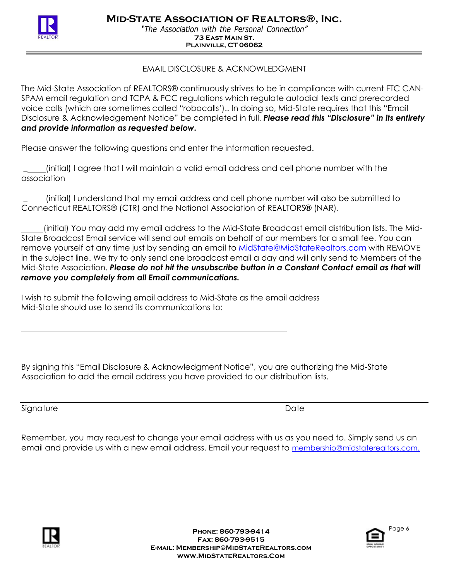

## EMAIL DISCLOSURE & ACKNOWLEDGMENT

The Mid-State Association of REALTORS® continuously strives to be in compliance with current FTC CAN-SPAM email regulation and TCPA & FCC regulations which regulate autodial texts and prerecorded voice calls (which are sometimes called "robocalls').. In doing so, Mid-State requires that this "Email Disclosure & Acknowledgement Notice" be completed in full. *Please read this "Disclosure" in its entirety and provide information as requested below.*

Please answer the following questions and enter the information requested.

\_ (initial) I agree that I will maintain a valid email address and cell phone number with the association

\_ (initial) I understand that my email address and cell phone number will also be submitted to Connecticut REALTORS® (CTR) and the National Association of REALTORS® (NAR).

(initial) You may add my email address to the Mid-State Broadcast email distribution lists. The Mid-State Broadcast Email service will send out emails on behalf of our members for a small fee. You can remove yourself at any time just by sending an email to MidState@MidStateRealtors.com with REMOVE in the subject line. We try to only send one broadcast email a day and will only send to Members of the Mid-State Association. *Please do not hit the unsubscribe button in a Constant Contact email as that will remove you completely from all Email communications.*

I wish to submit the following email address to Mid-State as the email address Mid-State should use to send its communications to:

By signing this "Email Disclosure & Acknowledgment Notice", you are authorizing the Mid-State Association to add the email address you have provided to our distribution lists.

Signature Date Date Date of the United States of the United States of the United States of the United States of the United States of the United States of the United States of the United States of the United States of the U

Remember, you may request to change your email address with us as you need to. Simply send us an email and provide us with a new email address. Email your request to membership@midstaterealtors.co[m.](mailto:membership@midstaterealtors.com.)